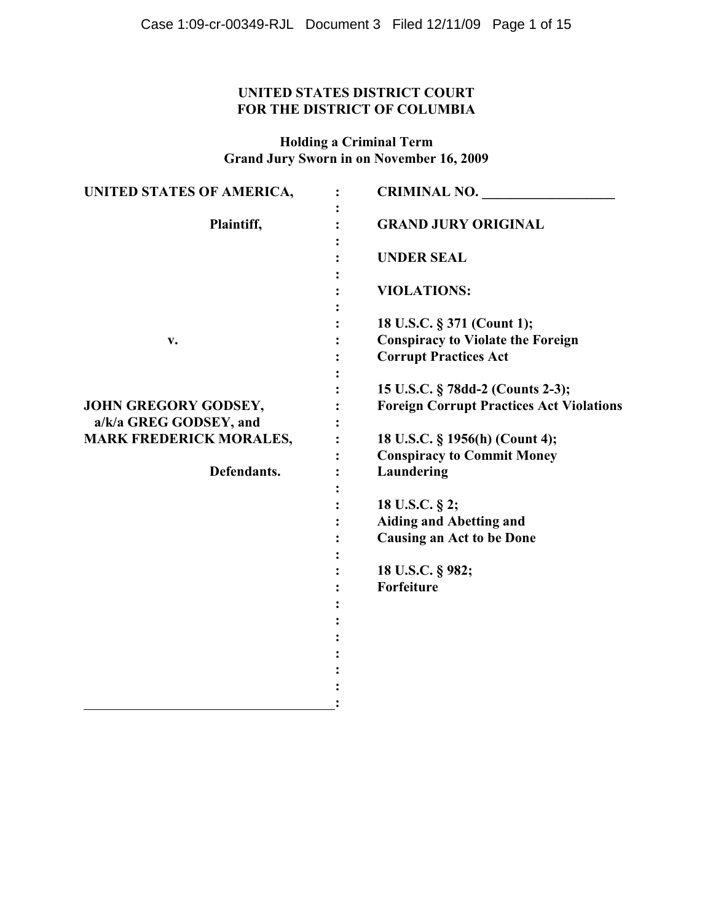# **UNITED STATES DISTRICT COURT FOR THE DISTRICT OF COLUMBIA**

**Holding a Criminal Term Grand Jury Sworn in on November 16, 2009**

| UNITED STATES OF AMERICA,                      | <b>CRIMINAL NO.</b>                                                                  |
|------------------------------------------------|--------------------------------------------------------------------------------------|
| Plaintiff,                                     | <b>GRAND JURY ORIGINAL</b>                                                           |
|                                                | <b>UNDER SEAL</b>                                                                    |
|                                                | <b>VIOLATIONS:</b>                                                                   |
|                                                | 18 U.S.C. § 371 (Count 1);                                                           |
| V.                                             | <b>Conspiracy to Violate the Foreign</b><br><b>Corrupt Practices Act</b>             |
|                                                | 15 U.S.C. § 78dd-2 (Counts 2-3);                                                     |
| JOHN GREGORY GODSEY,<br>a/k/a GREG GODSEY, and | <b>Foreign Corrupt Practices Act Violations</b>                                      |
| <b>MARK FREDERICK MORALES,</b>                 | 18 U.S.C. § 1956(h) (Count 4);<br><b>Conspiracy to Commit Money</b>                  |
| Defendants.                                    | Laundering                                                                           |
|                                                | 18 U.S.C. § 2;<br><b>Aiding and Abetting and</b><br><b>Causing an Act to be Done</b> |
|                                                | 18 U.S.C. § 982;<br>Forfeiture                                                       |
|                                                |                                                                                      |
|                                                |                                                                                      |
|                                                |                                                                                      |
|                                                |                                                                                      |
|                                                |                                                                                      |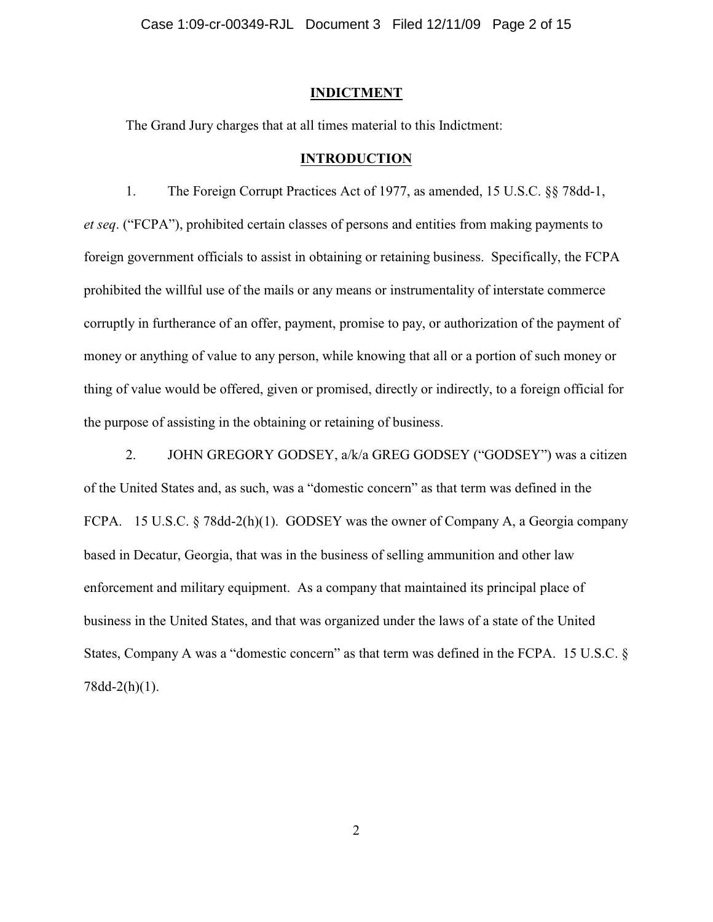#### **INDICTMENT**

The Grand Jury charges that at all times material to this Indictment:

#### **INTRODUCTION**

1. The Foreign Corrupt Practices Act of 1977, as amended, 15 U.S.C. §§ 78dd-1, *et seq*. ("FCPA"), prohibited certain classes of persons and entities from making payments to foreign government officials to assist in obtaining or retaining business. Specifically, the FCPA prohibited the willful use of the mails or any means or instrumentality of interstate commerce corruptly in furtherance of an offer, payment, promise to pay, or authorization of the payment of money or anything of value to any person, while knowing that all or a portion of such money or thing of value would be offered, given or promised, directly or indirectly, to a foreign official for the purpose of assisting in the obtaining or retaining of business.

2. JOHN GREGORY GODSEY, a/k/a GREG GODSEY ("GODSEY") was a citizen of the United States and, as such, was a "domestic concern" as that term was defined in the FCPA. 15 U.S.C. § 78dd-2(h)(1). GODSEY was the owner of Company A, a Georgia company based in Decatur, Georgia, that was in the business of selling ammunition and other law enforcement and military equipment. As a company that maintained its principal place of business in the United States, and that was organized under the laws of a state of the United States, Company A was a "domestic concern" as that term was defined in the FCPA. 15 U.S.C. § 78dd-2(h)(1).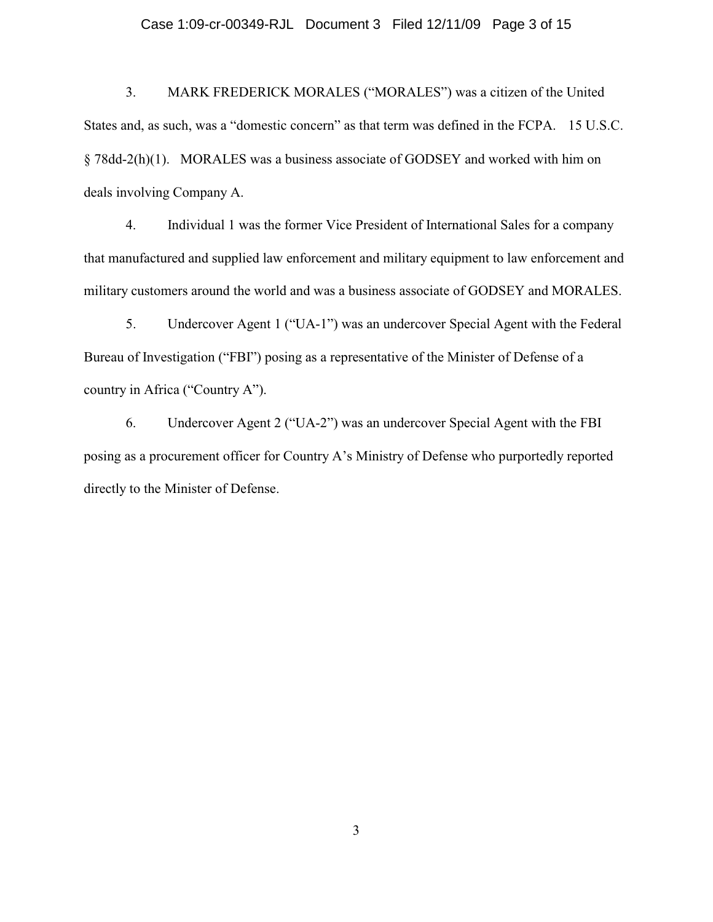### Case 1:09-cr-00349-RJL Document 3 Filed 12/11/09 Page 3 of 15

3. MARK FREDERICK MORALES ("MORALES") was a citizen of the United States and, as such, was a "domestic concern" as that term was defined in the FCPA. 15 U.S.C. § 78dd-2(h)(1). MORALES was a business associate of GODSEY and worked with him on deals involving Company A.

4. Individual 1 was the former Vice President of International Sales for a company that manufactured and supplied law enforcement and military equipment to law enforcement and military customers around the world and was a business associate of GODSEY and MORALES.

5. Undercover Agent 1 ("UA-1") was an undercover Special Agent with the Federal Bureau of Investigation ("FBI") posing as a representative of the Minister of Defense of a country in Africa ("Country A").

6. Undercover Agent 2 ("UA-2") was an undercover Special Agent with the FBI posing as a procurement officer for Country A's Ministry of Defense who purportedly reported directly to the Minister of Defense.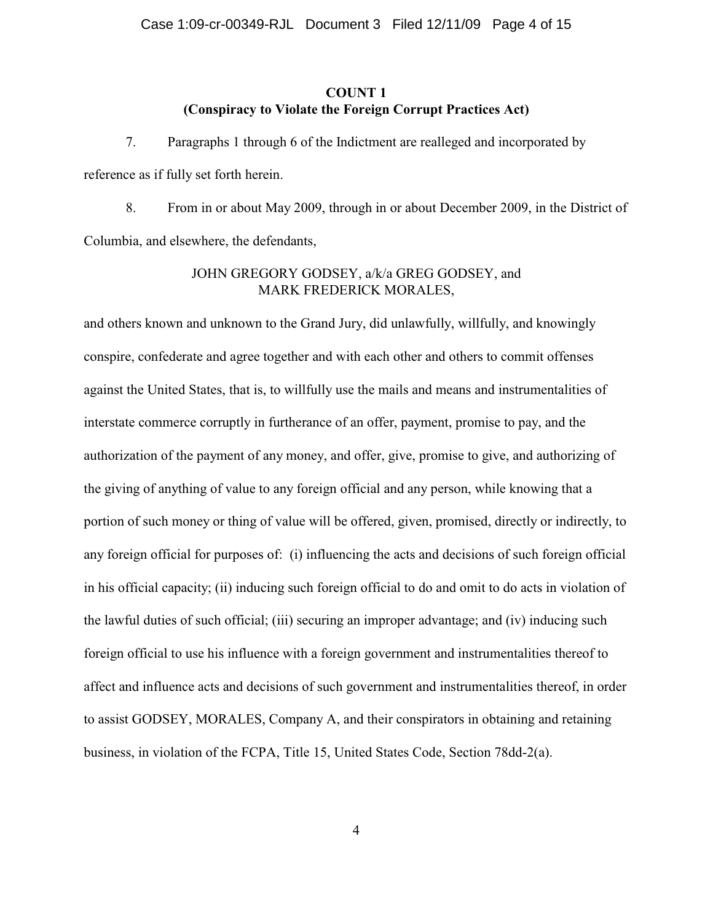# **COUNT 1 (Conspiracy to Violate the Foreign Corrupt Practices Act)**

7. Paragraphs 1 through 6 of the Indictment are realleged and incorporated by reference as if fully set forth herein.

8. From in or about May 2009, through in or about December 2009, in the District of Columbia, and elsewhere, the defendants,

# JOHN GREGORY GODSEY, a/k/a GREG GODSEY, and MARK FREDERICK MORALES,

and others known and unknown to the Grand Jury, did unlawfully, willfully, and knowingly conspire, confederate and agree together and with each other and others to commit offenses against the United States, that is, to willfully use the mails and means and instrumentalities of interstate commerce corruptly in furtherance of an offer, payment, promise to pay, and the authorization of the payment of any money, and offer, give, promise to give, and authorizing of the giving of anything of value to any foreign official and any person, while knowing that a portion of such money or thing of value will be offered, given, promised, directly or indirectly, to any foreign official for purposes of: (i) influencing the acts and decisions of such foreign official in his official capacity; (ii) inducing such foreign official to do and omit to do acts in violation of the lawful duties of such official; (iii) securing an improper advantage; and (iv) inducing such foreign official to use his influence with a foreign government and instrumentalities thereof to affect and influence acts and decisions of such government and instrumentalities thereof, in order to assist GODSEY, MORALES, Company A, and their conspirators in obtaining and retaining business, in violation of the FCPA, Title 15, United States Code, Section 78dd-2(a).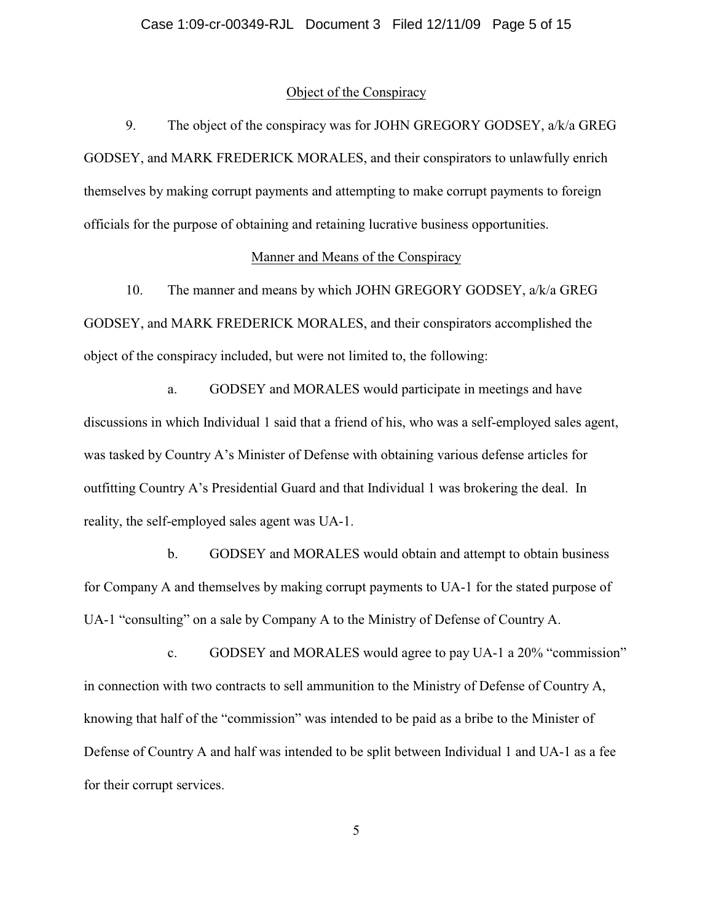### Object of the Conspiracy

9. The object of the conspiracy was for JOHN GREGORY GODSEY, a/k/a GREG GODSEY, and MARK FREDERICK MORALES, and their conspirators to unlawfully enrich themselves by making corrupt payments and attempting to make corrupt payments to foreign officials for the purpose of obtaining and retaining lucrative business opportunities.

# Manner and Means of the Conspiracy

10. The manner and means by which JOHN GREGORY GODSEY, a/k/a GREG GODSEY, and MARK FREDERICK MORALES, and their conspirators accomplished the object of the conspiracy included, but were not limited to, the following:

a. GODSEY and MORALES would participate in meetings and have discussions in which Individual 1 said that a friend of his, who was a self-employed sales agent, was tasked by Country A's Minister of Defense with obtaining various defense articles for outfitting Country A's Presidential Guard and that Individual 1 was brokering the deal. In reality, the self-employed sales agent was UA-1.

b. GODSEY and MORALES would obtain and attempt to obtain business for Company A and themselves by making corrupt payments to UA-1 for the stated purpose of UA-1 "consulting" on a sale by Company A to the Ministry of Defense of Country A.

c. GODSEY and MORALES would agree to pay UA-1 a 20% "commission" in connection with two contracts to sell ammunition to the Ministry of Defense of Country A, knowing that half of the "commission" was intended to be paid as a bribe to the Minister of Defense of Country A and half was intended to be split between Individual 1 and UA-1 as a fee for their corrupt services.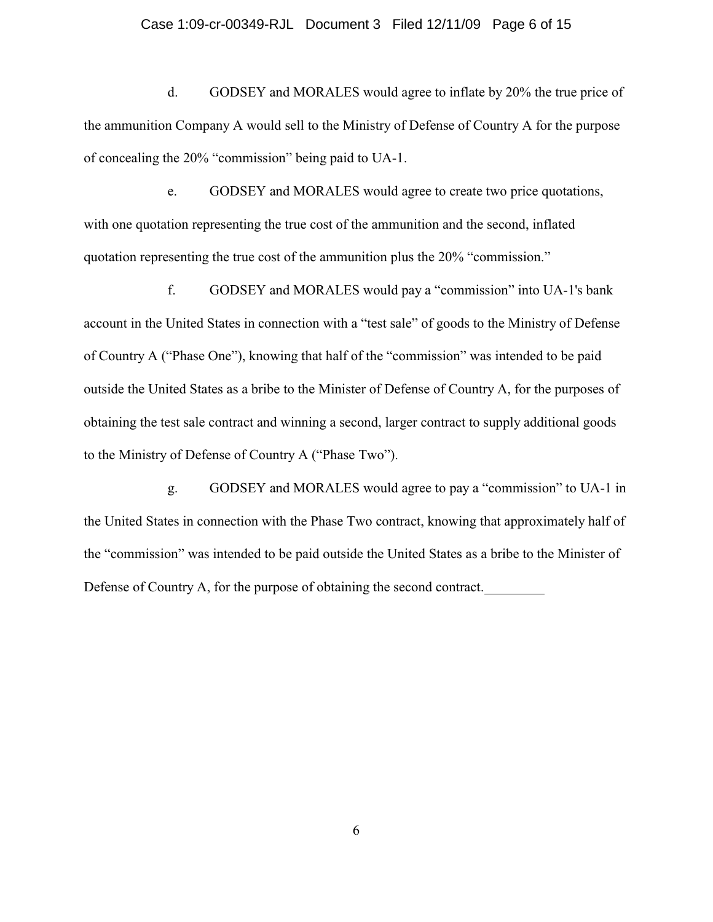### Case 1:09-cr-00349-RJL Document 3 Filed 12/11/09 Page 6 of 15

d. GODSEY and MORALES would agree to inflate by 20% the true price of the ammunition Company A would sell to the Ministry of Defense of Country A for the purpose of concealing the 20% "commission" being paid to UA-1.

e. GODSEY and MORALES would agree to create two price quotations, with one quotation representing the true cost of the ammunition and the second, inflated quotation representing the true cost of the ammunition plus the 20% "commission."

f. GODSEY and MORALES would pay a "commission" into UA-1's bank account in the United States in connection with a "test sale" of goods to the Ministry of Defense of Country A ("Phase One"), knowing that half of the "commission" was intended to be paid outside the United States as a bribe to the Minister of Defense of Country A, for the purposes of obtaining the test sale contract and winning a second, larger contract to supply additional goods to the Ministry of Defense of Country A ("Phase Two").

g. GODSEY and MORALES would agree to pay a "commission" to UA-1 in the United States in connection with the Phase Two contract, knowing that approximately half of the "commission" was intended to be paid outside the United States as a bribe to the Minister of Defense of Country A, for the purpose of obtaining the second contract.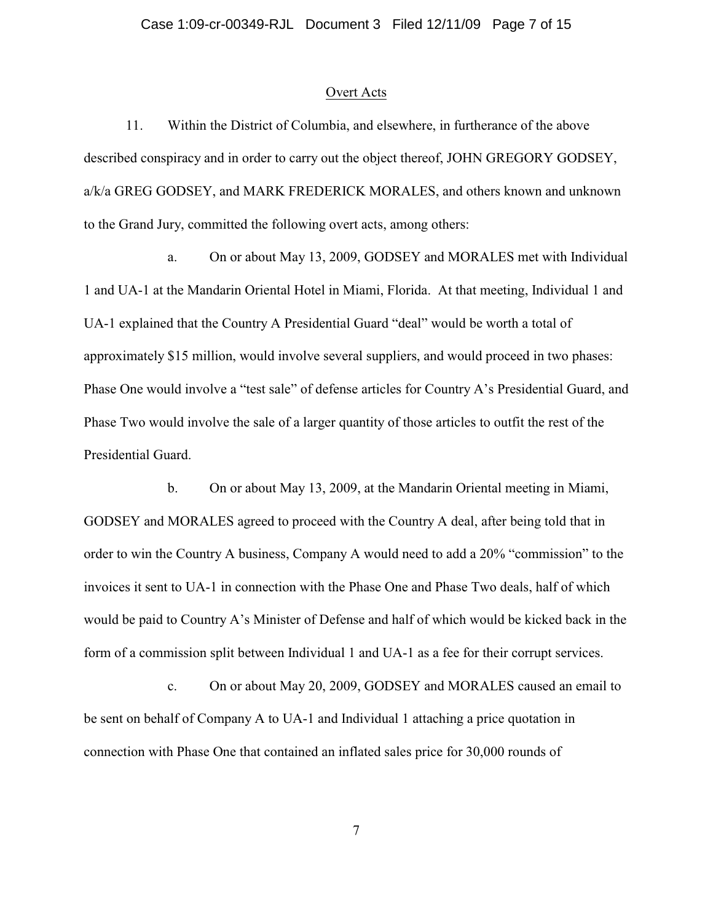#### Overt Acts

11. Within the District of Columbia, and elsewhere, in furtherance of the above described conspiracy and in order to carry out the object thereof, JOHN GREGORY GODSEY, a/k/a GREG GODSEY, and MARK FREDERICK MORALES, and others known and unknown to the Grand Jury, committed the following overt acts, among others:

a. On or about May 13, 2009, GODSEY and MORALES met with Individual 1 and UA-1 at the Mandarin Oriental Hotel in Miami, Florida. At that meeting, Individual 1 and UA-1 explained that the Country A Presidential Guard "deal" would be worth a total of approximately \$15 million, would involve several suppliers, and would proceed in two phases: Phase One would involve a "test sale" of defense articles for Country A's Presidential Guard, and Phase Two would involve the sale of a larger quantity of those articles to outfit the rest of the Presidential Guard.

b. On or about May 13, 2009, at the Mandarin Oriental meeting in Miami, GODSEY and MORALES agreed to proceed with the Country A deal, after being told that in order to win the Country A business, Company A would need to add a 20% "commission" to the invoices it sent to UA-1 in connection with the Phase One and Phase Two deals, half of which would be paid to Country A's Minister of Defense and half of which would be kicked back in the form of a commission split between Individual 1 and UA-1 as a fee for their corrupt services.

c. On or about May 20, 2009, GODSEY and MORALES caused an email to be sent on behalf of Company A to UA-1 and Individual 1 attaching a price quotation in connection with Phase One that contained an inflated sales price for 30,000 rounds of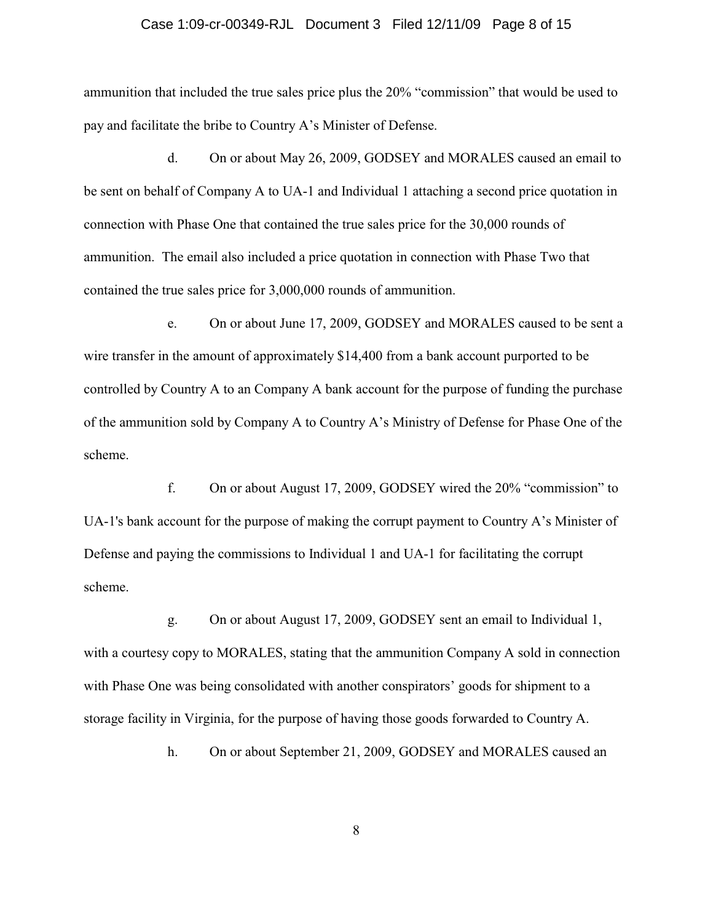#### Case 1:09-cr-00349-RJL Document 3 Filed 12/11/09 Page 8 of 15

ammunition that included the true sales price plus the 20% "commission" that would be used to pay and facilitate the bribe to Country A's Minister of Defense.

d. On or about May 26, 2009, GODSEY and MORALES caused an email to be sent on behalf of Company A to UA-1 and Individual 1 attaching a second price quotation in connection with Phase One that contained the true sales price for the 30,000 rounds of ammunition. The email also included a price quotation in connection with Phase Two that contained the true sales price for 3,000,000 rounds of ammunition.

e. On or about June 17, 2009, GODSEY and MORALES caused to be sent a wire transfer in the amount of approximately \$14,400 from a bank account purported to be controlled by Country A to an Company A bank account for the purpose of funding the purchase of the ammunition sold by Company A to Country A's Ministry of Defense for Phase One of the scheme.

f. On or about August 17, 2009, GODSEY wired the 20% "commission" to UA-1's bank account for the purpose of making the corrupt payment to Country A's Minister of Defense and paying the commissions to Individual 1 and UA-1 for facilitating the corrupt scheme.

g. On or about August 17, 2009, GODSEY sent an email to Individual 1, with a courtesy copy to MORALES, stating that the ammunition Company A sold in connection with Phase One was being consolidated with another conspirators' goods for shipment to a storage facility in Virginia, for the purpose of having those goods forwarded to Country A.

h. On or about September 21, 2009, GODSEY and MORALES caused an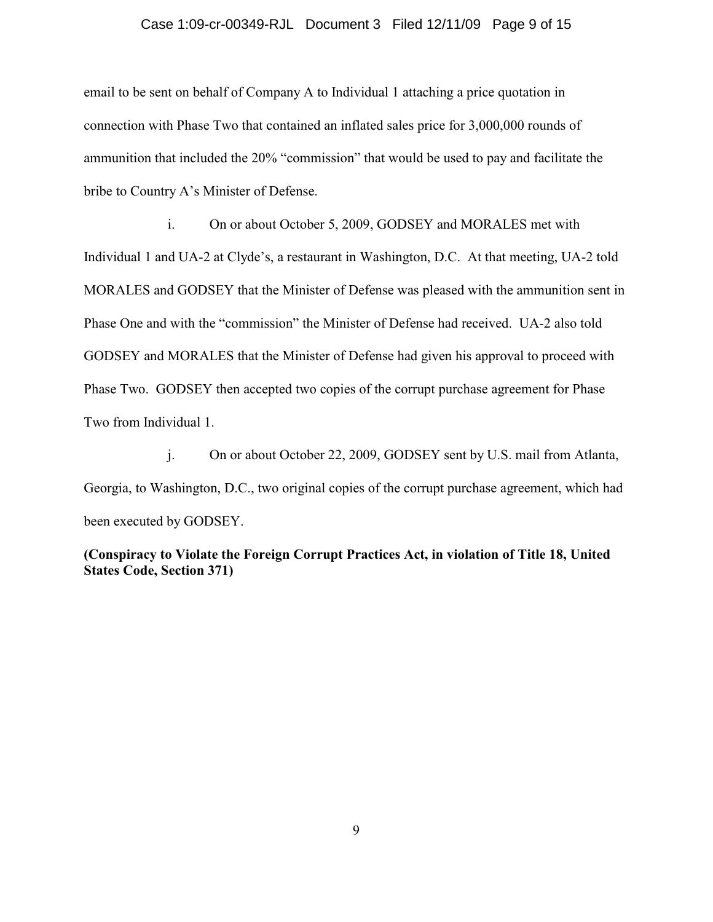### Case 1:09-cr-00349-RJL Document 3 Filed 12/11/09 Page 9 of 15

email to be sent on behalf of Company A to Individual 1 attaching a price quotation in connection with Phase Two that contained an inflated sales price for 3,000,000 rounds of ammunition that included the 20% "commission" that would be used to pay and facilitate the bribe to Country A's Minister of Defense.

i. On or about October 5, 2009, GODSEY and MORALES met with Individual 1 and UA-2 at Clyde's, a restaurant in Washington, D.C. At that meeting, UA-2 told MORALES and GODSEY that the Minister of Defense was pleased with the ammunition sent in Phase One and with the "commission" the Minister of Defense had received. UA-2 also told GODSEY and MORALES that the Minister of Defense had given his approval to proceed with Phase Two. GODSEY then accepted two copies of the corrupt purchase agreement for Phase Two from Individual 1.

j. On or about October 22, 2009, GODSEY sent by U.S. mail from Atlanta, Georgia, to Washington, D.C., two original copies of the corrupt purchase agreement, which had been executed by GODSEY.

**(Conspiracy to Violate the Foreign Corrupt Practices Act, in violation of Title 18, United States Code, Section 371)**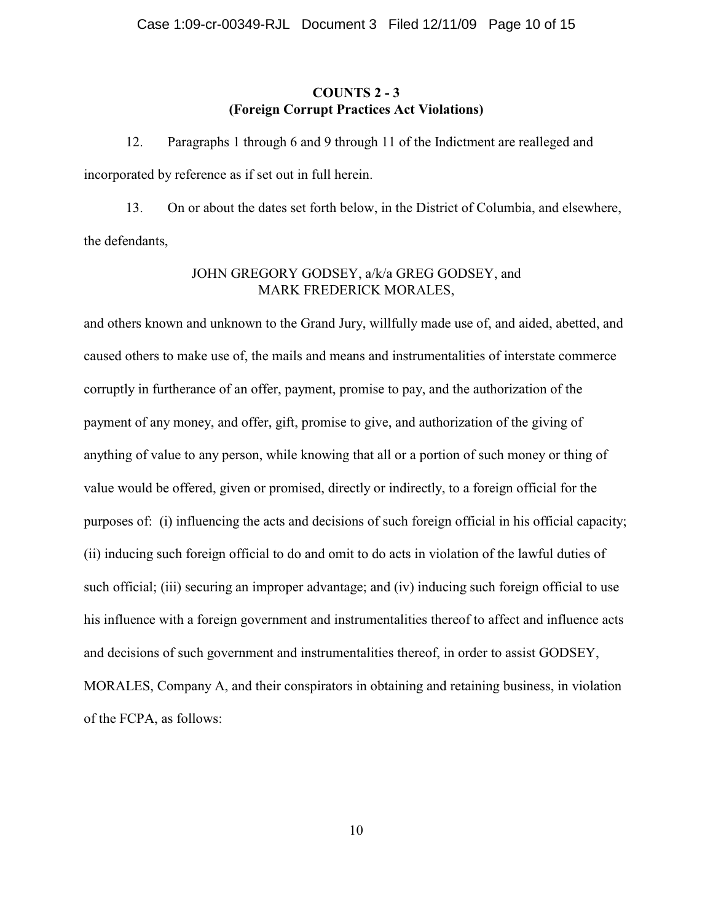# **COUNTS 2 - 3 (Foreign Corrupt Practices Act Violations)**

12. Paragraphs 1 through 6 and 9 through 11 of the Indictment are realleged and incorporated by reference as if set out in full herein.

13. On or about the dates set forth below, in the District of Columbia, and elsewhere, the defendants,

## JOHN GREGORY GODSEY, a/k/a GREG GODSEY, and MARK FREDERICK MORALES,

and others known and unknown to the Grand Jury, willfully made use of, and aided, abetted, and caused others to make use of, the mails and means and instrumentalities of interstate commerce corruptly in furtherance of an offer, payment, promise to pay, and the authorization of the payment of any money, and offer, gift, promise to give, and authorization of the giving of anything of value to any person, while knowing that all or a portion of such money or thing of value would be offered, given or promised, directly or indirectly, to a foreign official for the purposes of: (i) influencing the acts and decisions of such foreign official in his official capacity; (ii) inducing such foreign official to do and omit to do acts in violation of the lawful duties of such official; (iii) securing an improper advantage; and (iv) inducing such foreign official to use his influence with a foreign government and instrumentalities thereof to affect and influence acts and decisions of such government and instrumentalities thereof, in order to assist GODSEY, MORALES, Company A, and their conspirators in obtaining and retaining business, in violation of the FCPA, as follows: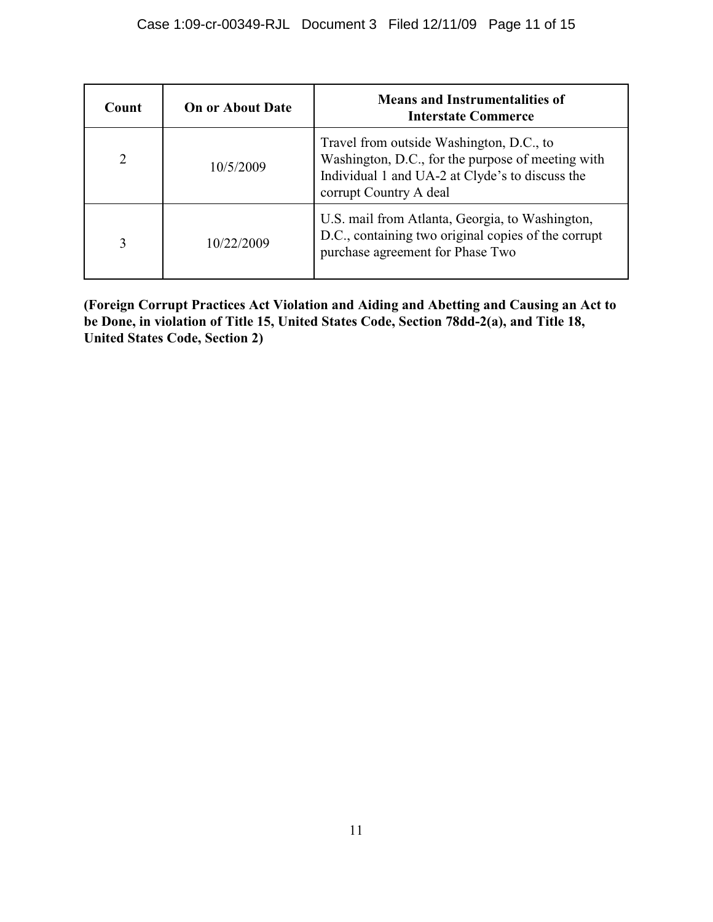| Count          | <b>On or About Date</b> | <b>Means and Instrumentalities of</b><br><b>Interstate Commerce</b>                                                                                                        |
|----------------|-------------------------|----------------------------------------------------------------------------------------------------------------------------------------------------------------------------|
| $\overline{2}$ | 10/5/2009               | Travel from outside Washington, D.C., to<br>Washington, D.C., for the purpose of meeting with<br>Individual 1 and UA-2 at Clyde's to discuss the<br>corrupt Country A deal |
| 3              | 10/22/2009              | U.S. mail from Atlanta, Georgia, to Washington,<br>D.C., containing two original copies of the corrupt<br>purchase agreement for Phase Two                                 |

**(Foreign Corrupt Practices Act Violation and Aiding and Abetting and Causing an Act to be Done, in violation of Title 15, United States Code, Section 78dd-2(a), and Title 18, United States Code, Section 2)**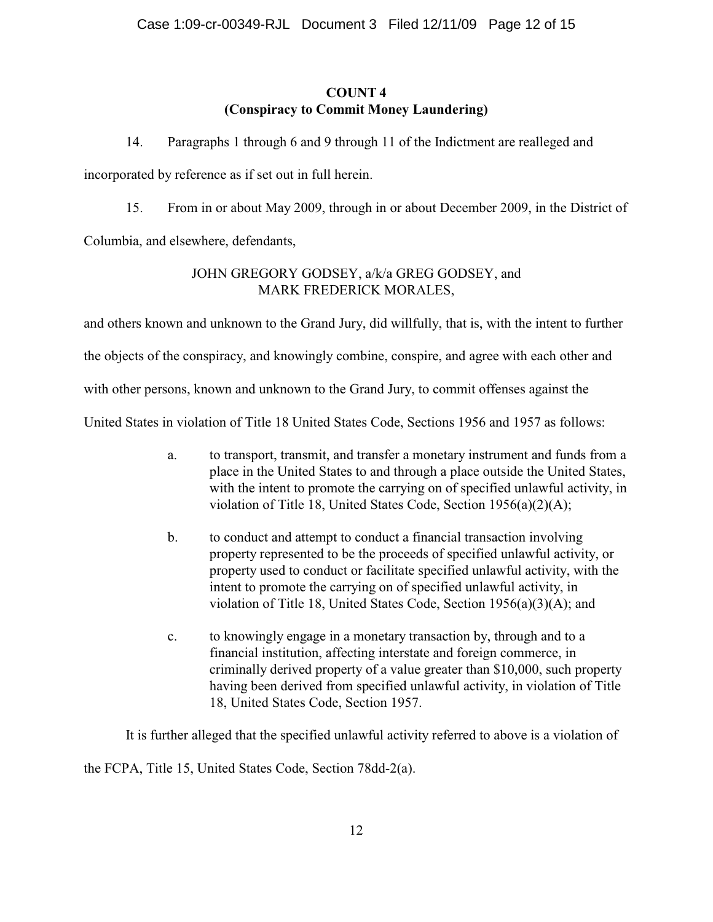# **COUNT 4 (Conspiracy to Commit Money Laundering)**

14. Paragraphs 1 through 6 and 9 through 11 of the Indictment are realleged and

incorporated by reference as if set out in full herein.

15. From in or about May 2009, through in or about December 2009, in the District of

Columbia, and elsewhere, defendants,

# JOHN GREGORY GODSEY, a/k/a GREG GODSEY, and MARK FREDERICK MORALES,

and others known and unknown to the Grand Jury, did willfully, that is, with the intent to further

the objects of the conspiracy, and knowingly combine, conspire, and agree with each other and

with other persons, known and unknown to the Grand Jury, to commit offenses against the

United States in violation of Title 18 United States Code, Sections 1956 and 1957 as follows:

- a. to transport, transmit, and transfer a monetary instrument and funds from a place in the United States to and through a place outside the United States, with the intent to promote the carrying on of specified unlawful activity, in violation of Title 18, United States Code, Section 1956(a)(2)(A);
- b. to conduct and attempt to conduct a financial transaction involving property represented to be the proceeds of specified unlawful activity, or property used to conduct or facilitate specified unlawful activity, with the intent to promote the carrying on of specified unlawful activity, in violation of Title 18, United States Code, Section 1956(a)(3)(A); and
- c. to knowingly engage in a monetary transaction by, through and to a financial institution, affecting interstate and foreign commerce, in criminally derived property of a value greater than \$10,000, such property having been derived from specified unlawful activity, in violation of Title 18, United States Code, Section 1957.

It is further alleged that the specified unlawful activity referred to above is a violation of

the FCPA, Title 15, United States Code, Section 78dd-2(a).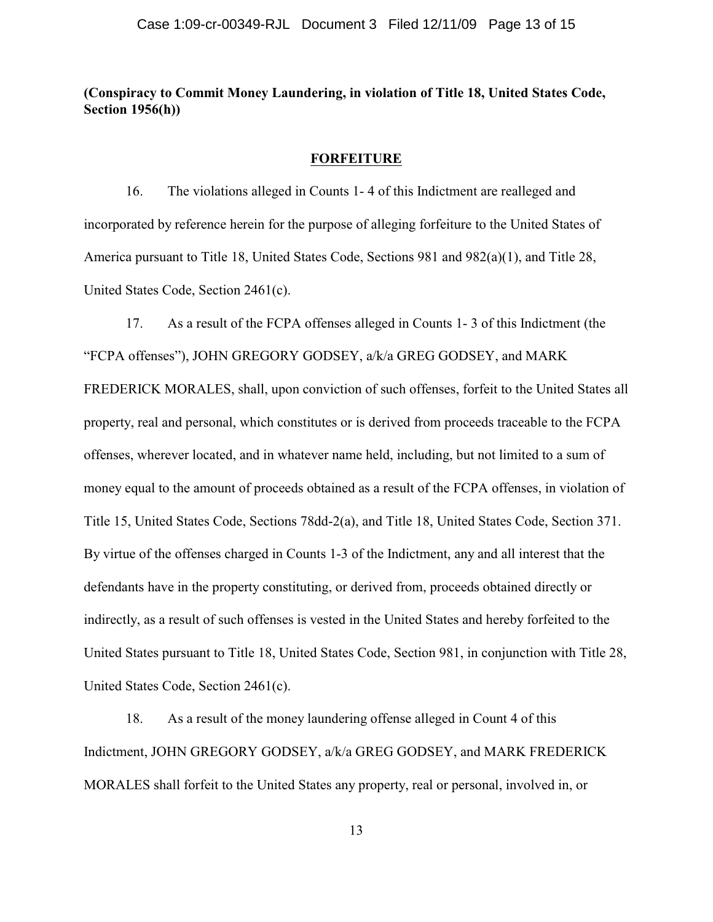# **(Conspiracy to Commit Money Laundering, in violation of Title 18, United States Code, Section 1956(h))**

### **FORFEITURE**

16. The violations alleged in Counts 1- 4 of this Indictment are realleged and incorporated by reference herein for the purpose of alleging forfeiture to the United States of America pursuant to Title 18, United States Code, Sections 981 and 982(a)(1), and Title 28, United States Code, Section 2461(c).

17. As a result of the FCPA offenses alleged in Counts 1- 3 of this Indictment (the "FCPA offenses"), JOHN GREGORY GODSEY, a/k/a GREG GODSEY, and MARK FREDERICK MORALES, shall, upon conviction of such offenses, forfeit to the United States all property, real and personal, which constitutes or is derived from proceeds traceable to the FCPA offenses, wherever located, and in whatever name held, including, but not limited to a sum of money equal to the amount of proceeds obtained as a result of the FCPA offenses, in violation of Title 15, United States Code, Sections 78dd-2(a), and Title 18, United States Code, Section 371. By virtue of the offenses charged in Counts 1-3 of the Indictment, any and all interest that the defendants have in the property constituting, or derived from, proceeds obtained directly or indirectly, as a result of such offenses is vested in the United States and hereby forfeited to the United States pursuant to Title 18, United States Code, Section 981, in conjunction with Title 28, United States Code, Section 2461(c).

18. As a result of the money laundering offense alleged in Count 4 of this Indictment, JOHN GREGORY GODSEY, a/k/a GREG GODSEY, and MARK FREDERICK MORALES shall forfeit to the United States any property, real or personal, involved in, or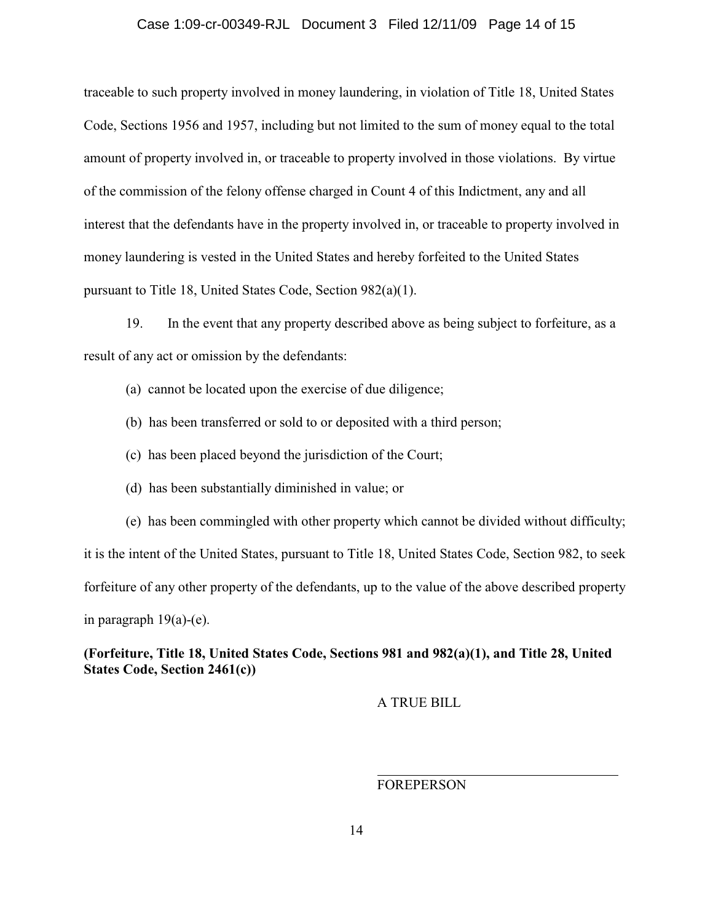### Case 1:09-cr-00349-RJL Document 3 Filed 12/11/09 Page 14 of 15

traceable to such property involved in money laundering, in violation of Title 18, United States Code, Sections 1956 and 1957, including but not limited to the sum of money equal to the total amount of property involved in, or traceable to property involved in those violations. By virtue of the commission of the felony offense charged in Count 4 of this Indictment, any and all interest that the defendants have in the property involved in, or traceable to property involved in money laundering is vested in the United States and hereby forfeited to the United States pursuant to Title 18, United States Code, Section 982(a)(1).

19. In the event that any property described above as being subject to forfeiture, as a result of any act or omission by the defendants:

- (a) cannot be located upon the exercise of due diligence;
- (b) has been transferred or sold to or deposited with a third person;
- (c) has been placed beyond the jurisdiction of the Court;
- (d) has been substantially diminished in value; or

(e) has been commingled with other property which cannot be divided without difficulty; it is the intent of the United States, pursuant to Title 18, United States Code, Section 982, to seek

forfeiture of any other property of the defendants, up to the value of the above described property

in paragraph  $19(a)-(e)$ .

**(Forfeiture, Title 18, United States Code, Sections 981 and 982(a)(1), and Title 28, United States Code, Section 2461(c))**

A TRUE BILL

FOREPERSON

 $\overline{a}$